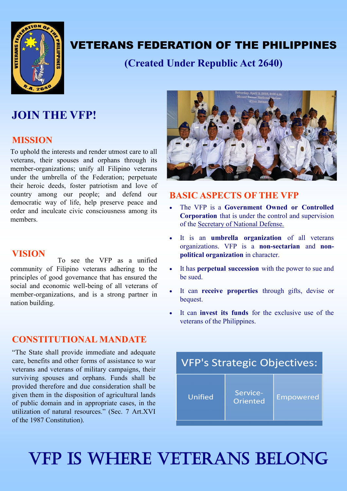

## VETERANS FEDERATION OF THE PHILIPPINES

**(Created Under Republic Act 2640)**

### **JOIN THE VFP!**

### **MISSION**

To uphold the interests and render utmost care to all veterans, their spouses and orphans through its member-organizations; unify all Filipino veterans under the umbrella of the Federation; perpetuate their heroic deeds, foster patriotism and love of country among our people; and defend our democratic way of life, help preserve peace and order and inculcate civic consciousness among its members.

### **VISION**

To see the VFP as a unified community of Filipino veterans adhering to the principles of good governance that has ensured the social and economic well-being of all veterans of member-organizations, and is a strong partner in nation building.

### **CONSTITUTIONAL MANDATE**

"The State shall provide immediate and adequate care, benefits and other forms of assistance to war veterans and veterans of military campaigns, their surviving spouses and orphans. Funds shall be provided therefore and due consideration shall be given them in the disposition of agricultural lands of public domain and in appropriate cases, in the utilization of natural resources." (Sec. 7 Art.XVI of the 1987 Constitution).



### **BASIC ASPECTS OF THE VFP**

- The VFP is a **Government Owned or Controlled Corporation** that is under the control and supervision of the Secretary of National Defense.
- It is an **umbrella organization** of all veterans organizations. VFP is a **non-sectarian** and **nonpolitical organization** in character.
- It has **perpetual succession** with the power to sue and be sued.
- It can **receive properties** through gifts, devise or bequest.
- It can **invest its funds** for the exclusive use of the veterans of the Philippines.



# VFP IS WHERE VETERANS BELONG